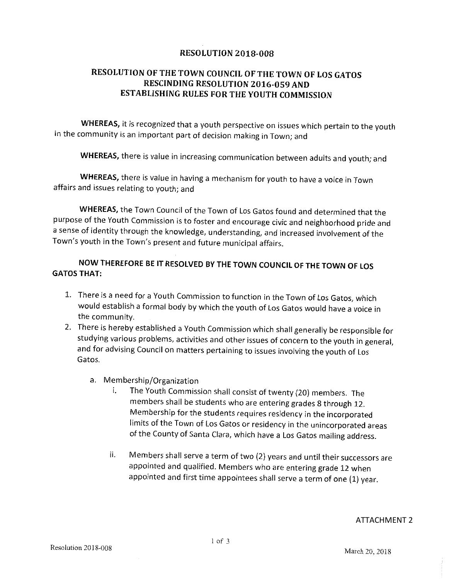## RESOLUTION 2018 -008

## RESOLUTION OF THE TOWN COUNCIL OF THE TOWN OF LOS GATOS RESCINDING RESOLUTION 2016 -059 AND ESTABLISHING RULES FOR THE YOUTH COMMISSION

WHEREAS, it is recognized that a youth perspective on issues which pertain to the youth in the community is an important part of decision making in Town; and

WHEREAS, there is value in increasing communication between adults and youth; and

WHEREAS, there is value in having a mechanism for youth to have a voice in Town affairs and issues relating to youth; and

WHEREAS, the Town Council of the Town of Los Gatos found and determined that the purpose of the Youth Commission is to foster and encourage civic and neighborhood pride and a sense of identity through the knowledge, understanding, and increased involvement of the Town's youth in the Town's present and future municipal affairs.

## NOW THEREFORE BE IT RESOLVED BY THE TOWN COUNCIL OF THE TOWN OF LOS GATOS THAT:

- 1. There is <sup>a</sup> need for a Youth Commission to function in the Town of Los Gatos, which would establish <sup>a</sup> formal body by which the youth of Los Gatos would have <sup>a</sup> voice in the community.
- 2. There is hereby established <sup>a</sup> Youth Commission which shall generally be responsible for studying various problems, activities and other issues of concern to the youth in general, and for advising Council on matters pertaining to issues involving the youth of Los Gatos.
	- a. Membership/Organization<br>i. The Youth Commiss
		- The Youth Commission shall consist of twenty (20) members. The members shall be students who are entering grades 8 through 12. Membership for the students requires residency in the incorporated limits of the Town of Los Gatos or residency in the unincorporated areas of the County of Santa Clara, which have <sup>a</sup> Los Gatos mailing address.
		- Members shall serve <sup>a</sup> term of two (2) years and until their successors are ii. appointed and qualified. Members who are entering grade 12 when appointed and first time appointees shall serve a term of one (1) year.

## ATTACHMENT 2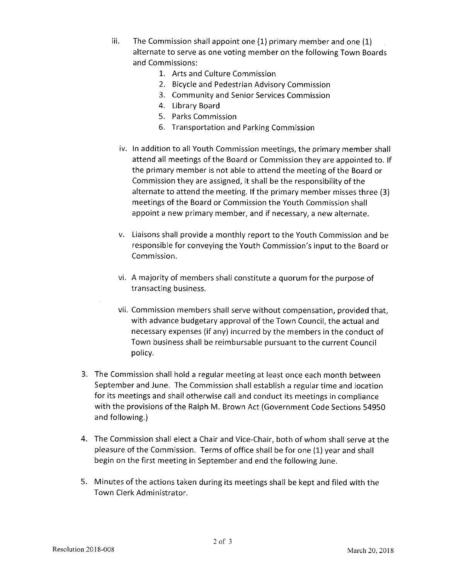- iii. The Commission shall appoint one  $(1)$  primary member and one  $(1)$ alternate to serve as one voting member on the following Town Boards and Commissions:
	- 1. Arts and Culture Commission
	- 2. Bicycle and Pedestrian Advisory Commission
	- 3. Community and Senior Services Commission
	- 4. Library Board
	- 5. Parks Commission
	- 6. Transportation and Parking Commission
	- iv. In addition to all Youth Commission meetings, the primary member shall attend all meetings of the Board or Commission they are appointed to. If the primary member is not able to attend the meeting of the Board or Commission they are assigned, it shall be the responsibility of the alternate to attend the meeting. If the primary member misses three (3) meetings of the Board or Commission the Youth Commission shall appoint <sup>a</sup> new primary member, and if necessary, a new alternate.
	- v. Liaisons shall provide <sup>a</sup> monthly report to the Youth Commission and be responsible for conveying the Youth Commission's input to the Board or Commission.
	- vi. A majority of members shall constitute <sup>a</sup> quorum for the purpose of transacting business.
	- vii. Commission members shall serve without compensation, provided that, with advance budgetary approval of the Town Council, the actual and necessary expenses (if any) incurred by the members in the conduct of Town business shall be reimbursable pursuant to the current Council policy.
- 3. The Commission shall hold <sup>a</sup> regular meeting at least once each month between September and June. The Commission shall establish <sup>a</sup> regular time and location for its meetings and shall otherwise call and conduct its meetings in compliance with the provisions of the Ralph M. Brown Act (Government Code Sections 54950 and following.)
- 4. The Commission shall elect a Chair and Vice-Chair, both of whom shall serve at the pleasure of the Commission. Terms of office shall be for one (1) year and shall begin on the first meeting in September and end the following June.
- 5. Minutes of the actions taken during its meetings shall be kept and filed with the Town Clerk Administrator.